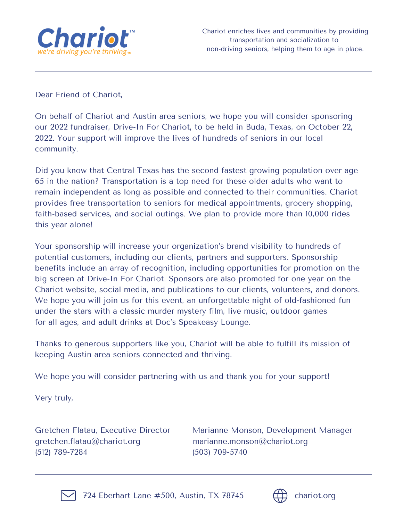

Dear Friend of Chariot,

On behalf of Chariot and Austin area seniors, we hope you will consider sponsoring our 2022 fundraiser, Drive-In For Chariot, to be held in Buda, Texas, on October 22, 2022. Your support will improve the lives of hundreds of seniors in our local community.

Did you know that Central Texas has the second fastest growing population over age 65 in the nation? Transportation is a top need for these older adults who want to remain independent as long as possible and connected to their communities. Chariot provides free transportation to seniors for medical appointments, grocery shopping, faith-based services, and social outings. We plan to provide more than 10,000 rides this year alone!

Your sponsorship will increase your organization's brand visibility to hundreds of potential customers, including our clients, partners and supporters. Sponsorship benefits include an array of recognition, including opportunities for promotion on the big screen at Drive-In For Chariot. Sponsors are also promoted for one year on the Chariot website, social media, and publications to our clients, volunteers, and donors. We hope you will join us for this event, an unforgettable night of old-fashioned fun under the stars with a classic murder mystery film, live music, outdoor games for all ages, and adult drinks at Doc's Speakeasy Lounge.

Thanks to generous supporters like you, Chariot will be able to fulfill its mission of keeping Austin area seniors connected and thriving.

We hope you will consider partnering with us and thank you for your support!

Very truly,

gretchen.flatau@chariot.org marianne.monson@chariot.org (512) 789-7284 (503) 709-5740

Gretchen Flatau, Executive Director Marianne Monson, Development Manager



724 Eberhart Lane #500, Austin, TX 78745  $\left(\begin{matrix} \downarrow \downarrow \end{matrix}\right)$  chariot.org